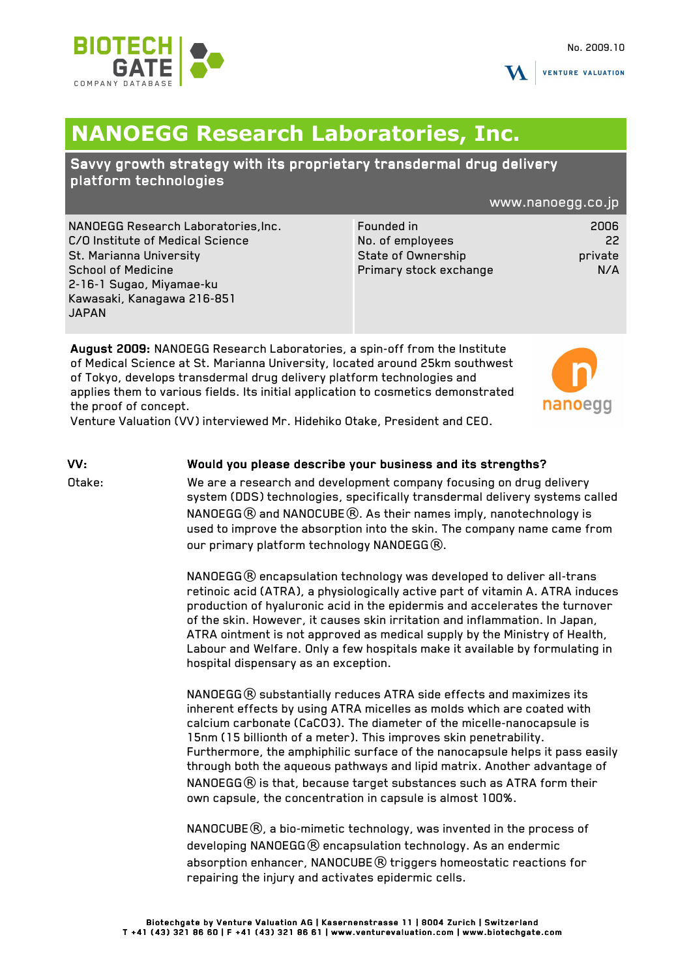



**VENTURE VALUATION** 

# **NANOEGG Research Laboratories, Inc.**

## Savvy growth strategy with its proprietary transdermal drug delivery platform technologies

#### www.nanoegg.co.jp

NANOEGG Research Laboratories,Inc. C/O Institute of Medical Science St. Marianna University School of Medicine 2-16-1 Sugao, Miyamae-ku Kawasaki, Kanagawa 216-851 JAPAN

| Founded in                | 2006    |
|---------------------------|---------|
| No. of employees          | -22     |
| <b>State of Ownership</b> | private |
| Primary stock exchange    | N/A     |
|                           |         |

August 2009: NANOEGG Research Laboratories, a spin-off from the Institute of Medical Science at St. Marianna University, located around 25km southwest of Tokyo, develops transdermal drug delivery platform technologies and applies them to various fields. Its initial application to cosmetics demonstrated the proof of concept.



Venture Valuation (VV) interviewed Mr. Hidehiko Otake, President and CEO.

### VV: Would you please describe your business and its strengths?

Otake: We are a research and development company focusing on drug delivery system (DDS) technologies, specifically transdermal delivery systems called NANOEGG® and NANOCUBE®. As their names imply, nanotechnology is used to improve the absorption into the skin. The company name came from our primary platform technology NANOEGG $@$ .

> $NANOEGG@$  encapsulation technology was developed to deliver all-trans retinoic acid (ATRA), a physiologically active part of vitamin A. ATRA induces production of hyaluronic acid in the epidermis and accelerates the turnover of the skin. However, it causes skin irritation and inflammation. In Japan, ATRA ointment is not approved as medical supply by the Ministry of Health, Labour and Welfare. Only a few hospitals make it available by formulating in hospital dispensary as an exception.

> $NANDEGG$  $R$  substantially reduces ATRA side effects and maximizes its inherent effects by using ATRA micelles as molds which are coated with calcium carbonate (CaCO3). The diameter of the micelle-nanocapsule is 15nm (15 billionth of a meter). This improves skin penetrability. Furthermore, the amphiphilic surface of the nanocapsule helps it pass easily through both the aqueous pathways and lipid matrix. Another advantage of  $NANDEGG@$  is that, because target substances such as ATRA form their own capsule, the concentration in capsule is almost 100%.

NANOCUBE $\circledR$ , a bio-mimetic technology, was invented in the process of developing NANOEGG® encapsulation technology. As an endermic absorption enhancer, NANOCUBE® triggers homeostatic reactions for repairing the injury and activates epidermic cells.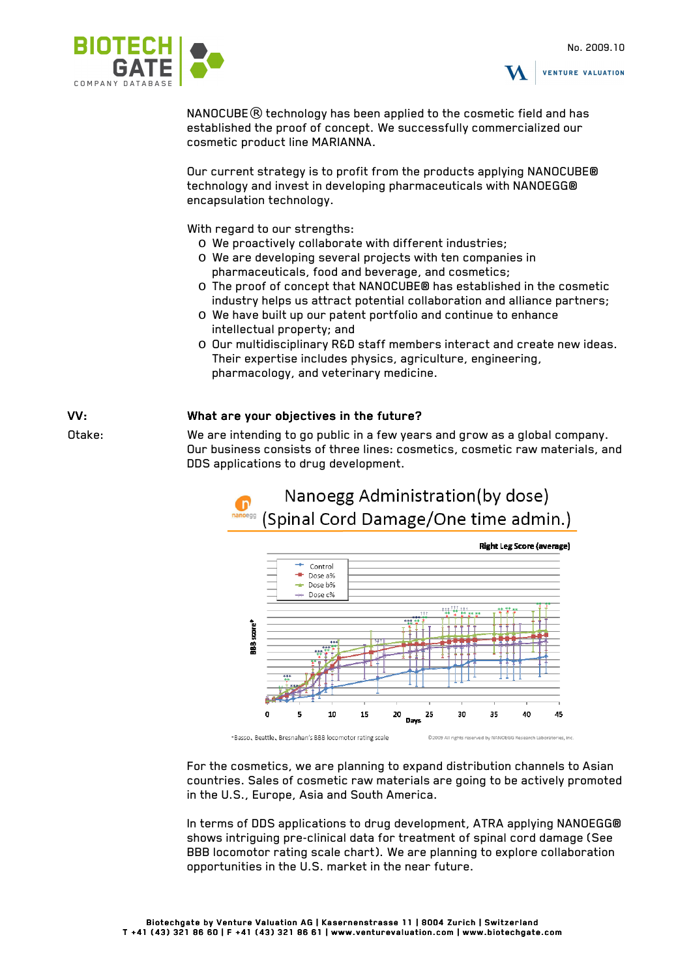



NANOCUBE $\circledR$  technology has been applied to the cosmetic field and has established the proof of concept. We successfully commercialized our cosmetic product line MARIANNA.

Our current strategy is to profit from the products applying NANOCUBE® technology and invest in developing pharmaceuticals with NANOEGG® encapsulation technology.

With regard to our strengths:

- o We proactively collaborate with different industries;
- o We are developing several projects with ten companies in pharmaceuticals, food and beverage, and cosmetics;
- o The proof of concept that NANOCUBE® has established in the cosmetic industry helps us attract potential collaboration and alliance partners;
- o We have built up our patent portfolio and continue to enhance intellectual property; and
- o Our multidisciplinary R&D staff members interact and create new ideas. Their expertise includes physics, agriculture, engineering, pharmacology, and veterinary medicine.

#### VV: What are your objectives in the future?

Otake: We are intending to go public in a few years and grow as a global company. Our business consists of three lines: cosmetics, cosmetic raw materials, and DDS applications to drug development.

> Nanoegg Administration(by dose) ( n (Spinal Cord Damage/One time admin.)



For the cosmetics, we are planning to expand distribution channels to Asian countries. Sales of cosmetic raw materials are going to be actively promoted in the U.S., Europe, Asia and South America.

In terms of DDS applications to drug development, ATRA applying NANOEGG® shows intriguing pre-clinical data for treatment of spinal cord damage (See BBB locomotor rating scale chart). We are planning to explore collaboration opportunities in the U.S. market in the near future.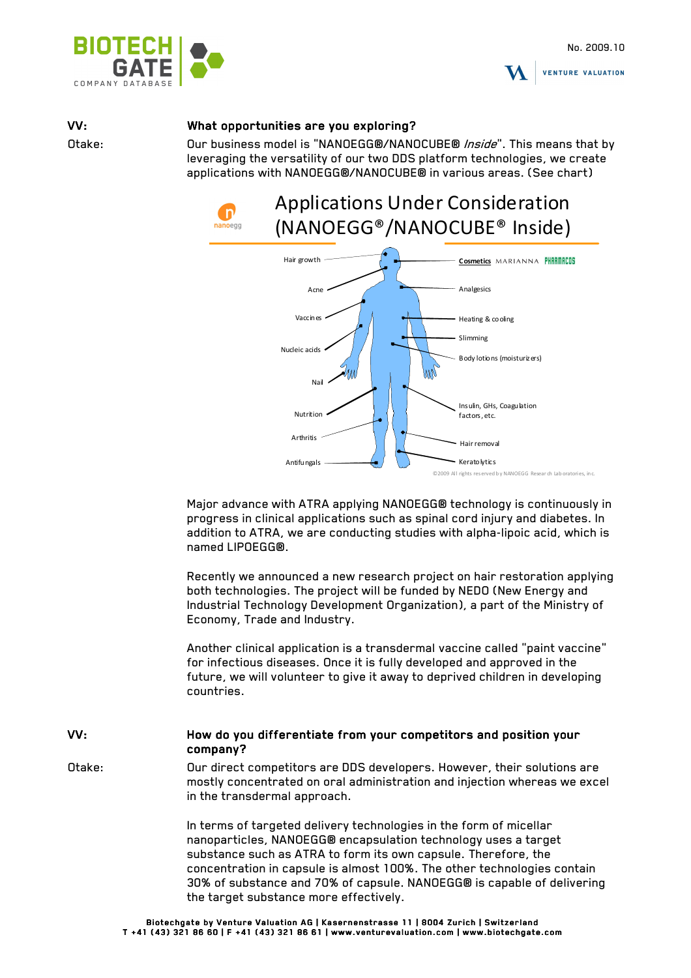



#### VV: What opportunities are you exploring?

Otake: Our business model is "NANOEGG®/NANOCUBE® *Inside*". This means that by leveraging the versatility of our two DDS platform technologies, we create applications with NANOEGG®/NANOCUBE® in various areas. (See chart)



Major advance with ATRA applying NANOEGG® technology is continuously in progress in clinical applications such as spinal cord injury and diabetes. In addition to ATRA, we are conducting studies with alpha-lipoic acid, which is named LIPOEGG®.

Recently we announced a new research project on hair restoration applying both technologies. The project will be funded by NEDO (New Energy and Industrial Technology Development Organization), a part of the Ministry of Economy, Trade and Industry.

Another clinical application is a transdermal vaccine called "paint vaccine" for infectious diseases. Once it is fully developed and approved in the future, we will volunteer to give it away to deprived children in developing countries.

### VV: How do you differentiate from your competitors and position your competitors and position your company? company?

Otake: Our direct competitors are DDS developers. However, their solutions are mostly concentrated on oral administration and injection whereas we excel in the transdermal approach.

> In terms of targeted delivery technologies in the form of micellar nanoparticles, NANOEGG® encapsulation technology uses a target substance such as ATRA to form its own capsule. Therefore, the concentration in capsule is almost 100%. The other technologies contain 30% of substance and 70% of capsule. NANOEGG® is capable of delivering the target substance more effectively.